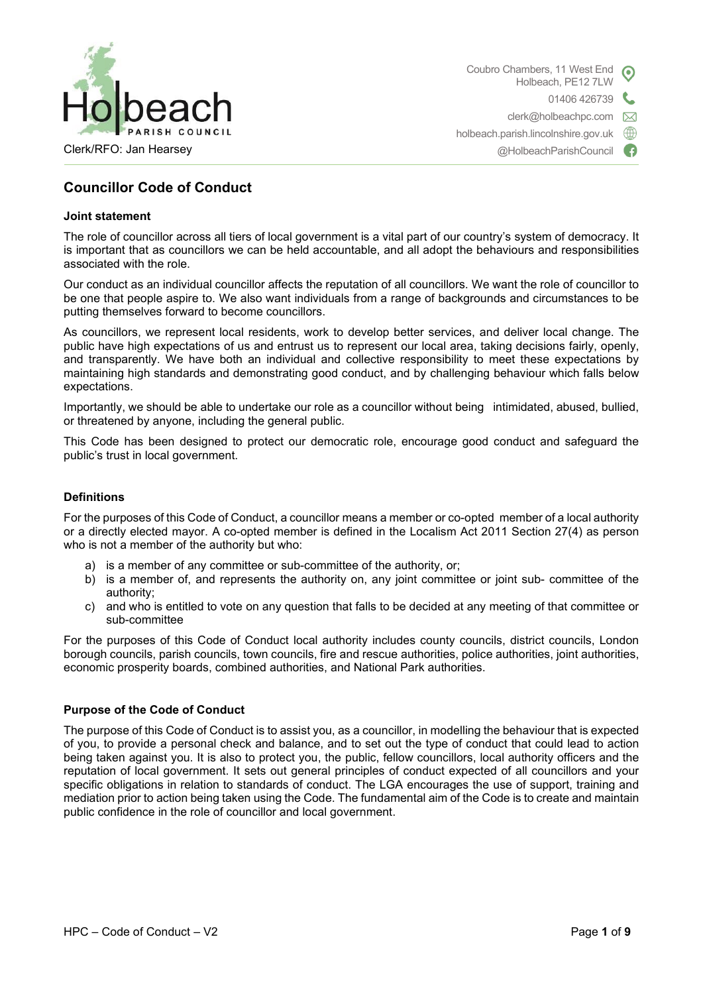

Coubro Chambers, 11 West End Holbeach, PE12 7LW 01406 426739 clerk@holbeachpc.com  $\boxtimes$ holbeach.parish.lincolnshire.gov.uk  $\oplus$ 

@HolbeachParishCouncil

# **Councillor Code of Conduct**

#### **Joint statement**

The role of councillor across all tiers of local government is a vital part of our country's system of democracy. It is important that as councillors we can be held accountable, and all adopt the behaviours and responsibilities associated with the role.

Our conduct as an individual councillor affects the reputation of all councillors. We want the role of councillor to be one that people aspire to. We also want individuals from a range of backgrounds and circumstances to be putting themselves forward to become councillors.

As councillors, we represent local residents, work to develop better services, and deliver local change. The public have high expectations of us and entrust us to represent our local area, taking decisions fairly, openly, and transparently. We have both an individual and collective responsibility to meet these expectations by maintaining high standards and demonstrating good conduct, and by challenging behaviour which falls below expectations.

Importantly, we should be able to undertake our role as a councillor without being intimidated, abused, bullied, or threatened by anyone, including the general public.

This Code has been designed to protect our democratic role, encourage good conduct and safeguard the public's trust in local government.

#### **Definitions**

For the purposes of this Code of Conduct, a councillor means a member or co-opted member of a local authority or a directly elected mayor. A co-opted member is defined in the Localism Act 2011 Section 27(4) as person who is not a member of the authority but who:

- a) is a member of any committee or sub-committee of the authority, or;
- b) is a member of, and represents the authority on, any joint committee or joint sub- committee of the authority;
- c) and who is entitled to vote on any question that falls to be decided at any meeting of that committee or sub-committee

For the purposes of this Code of Conduct local authority includes county councils, district councils, London borough councils, parish councils, town councils, fire and rescue authorities, police authorities, joint authorities, economic prosperity boards, combined authorities, and National Park authorities.

# **Purpose of the Code of Conduct**

The purpose of this Code of Conduct is to assist you, as a councillor, in modelling the behaviour that is expected of you, to provide a personal check and balance, and to set out the type of conduct that could lead to action being taken against you. It is also to protect you, the public, fellow councillors, local authority officers and the reputation of local government. It sets out general principles of conduct expected of all councillors and your specific obligations in relation to standards of conduct. The LGA encourages the use of support, training and mediation prior to action being taken using the Code. The fundamental aim of the Code is to create and maintain public confidence in the role of councillor and local government.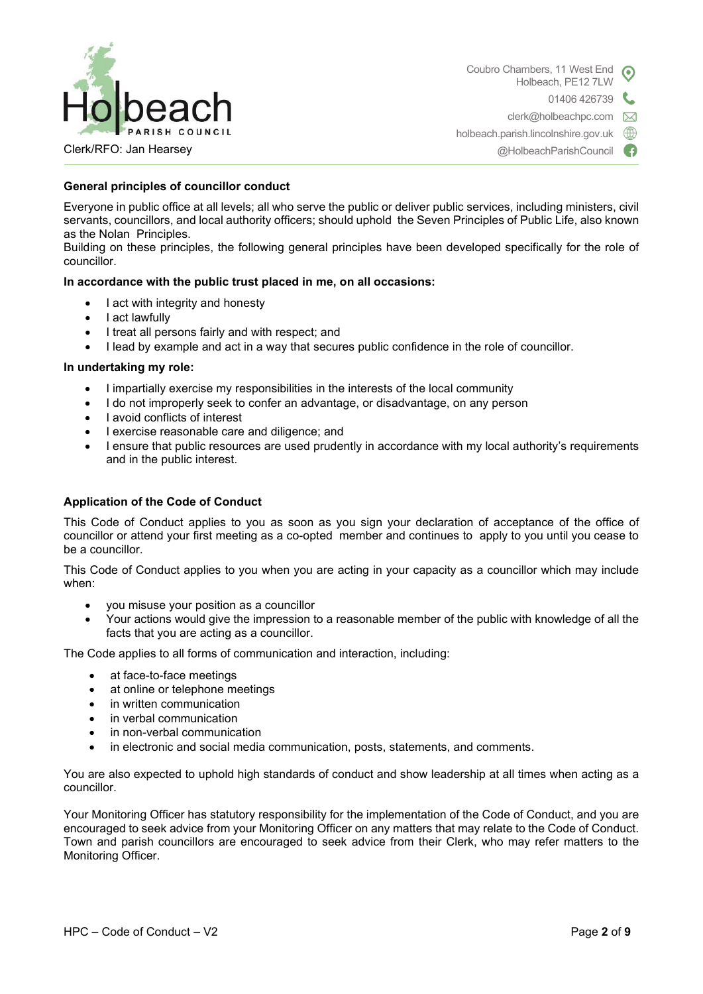

Coubro Chambers, 11 West End Holbeach, PE12 7LW 01406 426739 clerk@holbeachpc.com  $\boxtimes$ holbeach.parish.lincolnshire.gov.uk  $\oplus$ 

Clerk/RFO: Jan Hearsey

@HolbeachParishCouncil G

# **General principles of councillor conduct**

Everyone in public office at all levels; all who serve the public or deliver public services, including ministers, civil servants, councillors, and local authority officers; should uphold the Seven Principles of Public Life, also known as the Nolan Principles.

Building on these principles, the following general principles have been developed specifically for the role of councillor.

### **In accordance with the public trust placed in me, on all occasions:**

- I act with integrity and honesty
- I act lawfully
- I treat all persons fairly and with respect; and
- I lead by example and act in a way that secures public confidence in the role of councillor.

#### **In undertaking my role:**

- I impartially exercise my responsibilities in the interests of the local community
- I do not improperly seek to confer an advantage, or disadvantage, on any person
- I avoid conflicts of interest
- I exercise reasonable care and diligence; and
- I ensure that public resources are used prudently in accordance with my local authority's requirements and in the public interest.

### **Application of the Code of Conduct**

This Code of Conduct applies to you as soon as you sign your declaration of acceptance of the office of councillor or attend your first meeting as a co-opted member and continues to apply to you until you cease to be a councillor.

This Code of Conduct applies to you when you are acting in your capacity as a councillor which may include when:

- you misuse your position as a councillor
- Your actions would give the impression to a reasonable member of the public with knowledge of all the facts that you are acting as a councillor.

The Code applies to all forms of communication and interaction, including:

- at face-to-face meetings
- at online or telephone meetings
- in written communication
- in verbal communication
- in non-verbal communication
- in electronic and social media communication, posts, statements, and comments.

You are also expected to uphold high standards of conduct and show leadership at all times when acting as a councillor.

Your Monitoring Officer has statutory responsibility for the implementation of the Code of Conduct, and you are encouraged to seek advice from your Monitoring Officer on any matters that may relate to the Code of Conduct. Town and parish councillors are encouraged to seek advice from their Clerk, who may refer matters to the Monitoring Officer.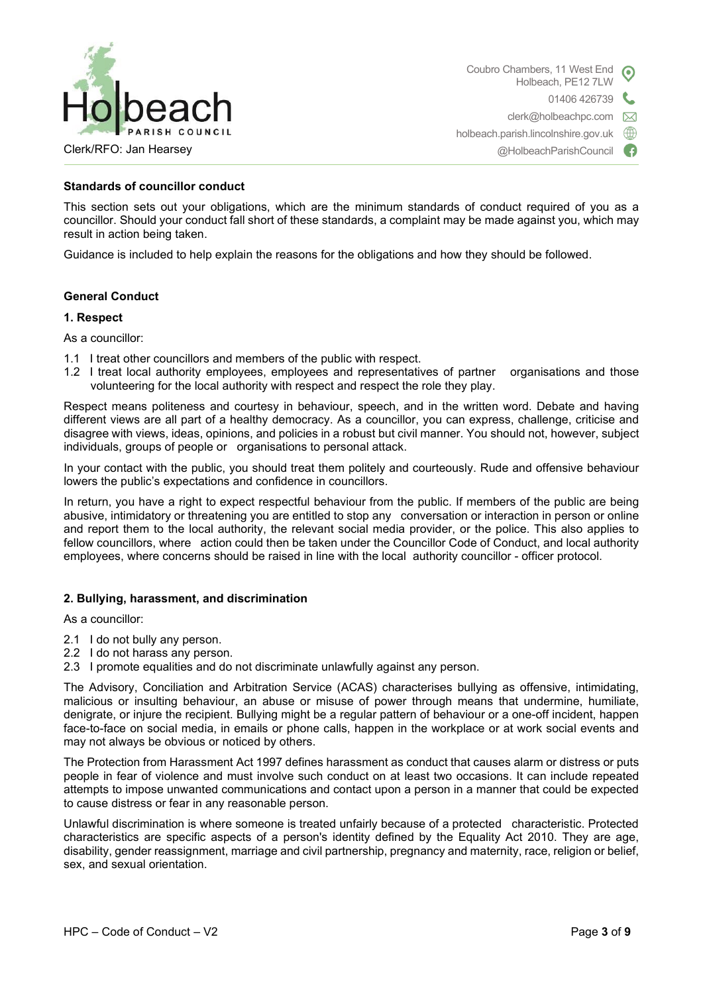

Coubro Chambers, 11 West End Holbeach, PE12 7LW 01406 426739 clerk@holbeachpc.com  $\boxtimes$ holbeach.parish.lincolnshire.gov.uk ∰ @HolbeachParishCouncil Œ

#### **Standards of councillor conduct**

This section sets out your obligations, which are the minimum standards of conduct required of you as a councillor. Should your conduct fall short of these standards, a complaint may be made against you, which may result in action being taken.

Guidance is included to help explain the reasons for the obligations and how they should be followed.

#### **General Conduct**

#### **1. Respect**

As a councillor:

- 1.1 I treat other councillors and members of the public with respect.
- 1.2 I treat local authority employees, employees and representatives of partner organisations and those volunteering for the local authority with respect and respect the role they play.

Respect means politeness and courtesy in behaviour, speech, and in the written word. Debate and having different views are all part of a healthy democracy. As a councillor, you can express, challenge, criticise and disagree with views, ideas, opinions, and policies in a robust but civil manner. You should not, however, subject individuals, groups of people or organisations to personal attack.

In your contact with the public, you should treat them politely and courteously. Rude and offensive behaviour lowers the public's expectations and confidence in councillors.

In return, you have a right to expect respectful behaviour from the public. If members of the public are being abusive, intimidatory or threatening you are entitled to stop any conversation or interaction in person or online and report them to the local authority, the relevant social media provider, or the police. This also applies to fellow councillors, where action could then be taken under the Councillor Code of Conduct, and local authority employees, where concerns should be raised in line with the local authority councillor - officer protocol.

#### **2. Bullying, harassment, and discrimination**

As a councillor:

- 2.1 I do not bully any person.
- 2.2 I do not harass any person.
- 2.3 I promote equalities and do not discriminate unlawfully against any person.

The Advisory, Conciliation and Arbitration Service (ACAS) characterises bullying as offensive, intimidating, malicious or insulting behaviour, an abuse or misuse of power through means that undermine, humiliate, denigrate, or injure the recipient. Bullying might be a regular pattern of behaviour or a one-off incident, happen face-to-face on social media, in emails or phone calls, happen in the workplace or at work social events and may not always be obvious or noticed by others.

The Protection from Harassment Act 1997 defines harassment as conduct that causes alarm or distress or puts people in fear of violence and must involve such conduct on at least two occasions. It can include repeated attempts to impose unwanted communications and contact upon a person in a manner that could be expected to cause distress or fear in any reasonable person.

Unlawful discrimination is where someone is treated unfairly because of a protected characteristic. Protected characteristics are specific aspects of a person's identity defined by the Equality Act 2010. They are age, disability, gender reassignment, marriage and civil partnership, pregnancy and maternity, race, religion or belief, sex, and sexual orientation.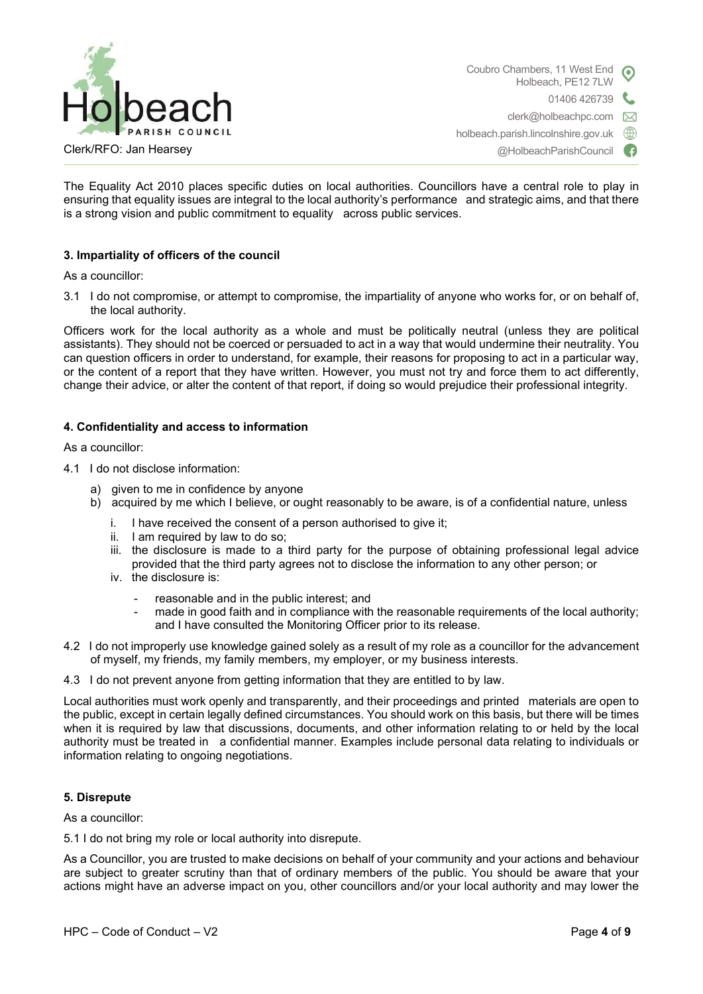

Coubro Chambers, 11 West End Holbeach, PE12 7LW L 01406 426739 clerk@holbeachpc.com  $\boxtimes$ holbeach.parish.lincolnshire.gov.uk ∰ @HolbeachParishCouncil

The Equality Act 2010 places specific duties on local authorities. Councillors have a central role to play in ensuring that equality issues are integral to the local authority's performance and strategic aims, and that there is a strong vision and public commitment to equality across public services.

# **3. Impartiality of officers of the council**

As a councillor:

3.1 I do not compromise, or attempt to compromise, the impartiality of anyone who works for, or on behalf of, the local authority.

Officers work for the local authority as a whole and must be politically neutral (unless they are political assistants). They should not be coerced or persuaded to act in a way that would undermine their neutrality. You can question officers in order to understand, for example, their reasons for proposing to act in a particular way, or the content of a report that they have written. However, you must not try and force them to act differently, change their advice, or alter the content of that report, if doing so would prejudice their professional integrity.

#### **4. Confidentiality and access to information**

As a councillor:

4.1 I do not disclose information:

- a) given to me in confidence by anyone
- b) acquired by me which I believe, or ought reasonably to be aware, is of a confidential nature, unless
	- I have received the consent of a person authorised to give it;
	- ii. I am required by law to do so;
	- iii. the disclosure is made to a third party for the purpose of obtaining professional legal advice provided that the third party agrees not to disclose the information to any other person; or
	- iv. the disclosure is:
		- reasonable and in the public interest; and
		- made in good faith and in compliance with the reasonable requirements of the local authority; and I have consulted the Monitoring Officer prior to its release.
- 4.2 I do not improperly use knowledge gained solely as a result of my role as a councillor for the advancement of myself, my friends, my family members, my employer, or my business interests.
- 4.3 I do not prevent anyone from getting information that they are entitled to by law.

Local authorities must work openly and transparently, and their proceedings and printed materials are open to the public, except in certain legally defined circumstances. You should work on this basis, but there will be times when it is required by law that discussions, documents, and other information relating to or held by the local authority must be treated in a confidential manner. Examples include personal data relating to individuals or information relating to ongoing negotiations.

#### **5. Disrepute**

As a councillor:

5.1 I do not bring my role or local authority into disrepute.

As a Councillor, you are trusted to make decisions on behalf of your community and your actions and behaviour are subject to greater scrutiny than that of ordinary members of the public. You should be aware that your actions might have an adverse impact on you, other councillors and/or your local authority and may lower the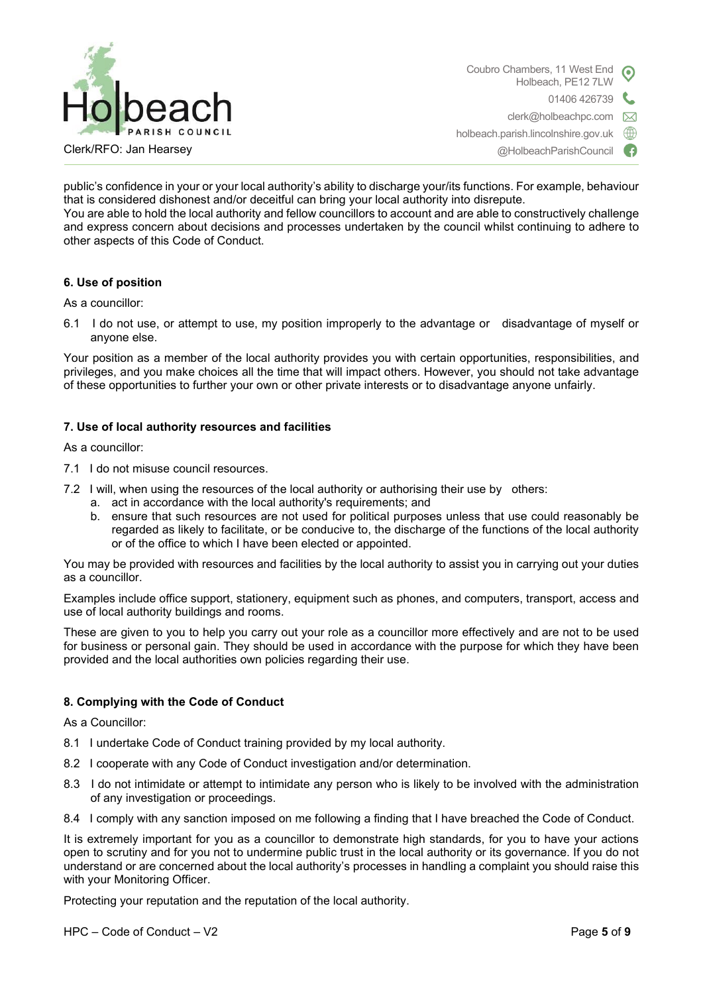

Clerk/RFO: Jan Hearsey

@HolbeachParishCouncil

public's confidence in your or your local authority's ability to discharge your/its functions. For example, behaviour that is considered dishonest and/or deceitful can bring your local authority into disrepute. You are able to hold the local authority and fellow councillors to account and are able to constructively challenge and express concern about decisions and processes undertaken by the council whilst continuing to adhere to other aspects of this Code of Conduct.

# **6. Use of position**

As a councillor:

6.1 I do not use, or attempt to use, my position improperly to the advantage or disadvantage of myself or anyone else.

Your position as a member of the local authority provides you with certain opportunities, responsibilities, and privileges, and you make choices all the time that will impact others. However, you should not take advantage of these opportunities to further your own or other private interests or to disadvantage anyone unfairly.

### **7. Use of local authority resources and facilities**

As a councillor:

- 7.1 I do not misuse council resources.
- 7.2 I will, when using the resources of the local authority or authorising their use by others:
	- a. act in accordance with the local authority's requirements; and
	- b. ensure that such resources are not used for political purposes unless that use could reasonably be regarded as likely to facilitate, or be conducive to, the discharge of the functions of the local authority or of the office to which I have been elected or appointed.

You may be provided with resources and facilities by the local authority to assist you in carrying out your duties as a councillor.

Examples include office support, stationery, equipment such as phones, and computers, transport, access and use of local authority buildings and rooms.

These are given to you to help you carry out your role as a councillor more effectively and are not to be used for business or personal gain. They should be used in accordance with the purpose for which they have been provided and the local authorities own policies regarding their use.

# **8. Complying with the Code of Conduct**

As a Councillor:

- 8.1 I undertake Code of Conduct training provided by my local authority.
- 8.2 I cooperate with any Code of Conduct investigation and/or determination.
- 8.3 I do not intimidate or attempt to intimidate any person who is likely to be involved with the administration of any investigation or proceedings.
- 8.4 I comply with any sanction imposed on me following a finding that I have breached the Code of Conduct.

It is extremely important for you as a councillor to demonstrate high standards, for you to have your actions open to scrutiny and for you not to undermine public trust in the local authority or its governance. If you do not understand or are concerned about the local authority's processes in handling a complaint you should raise this with your Monitoring Officer.

Protecting your reputation and the reputation of the local authority.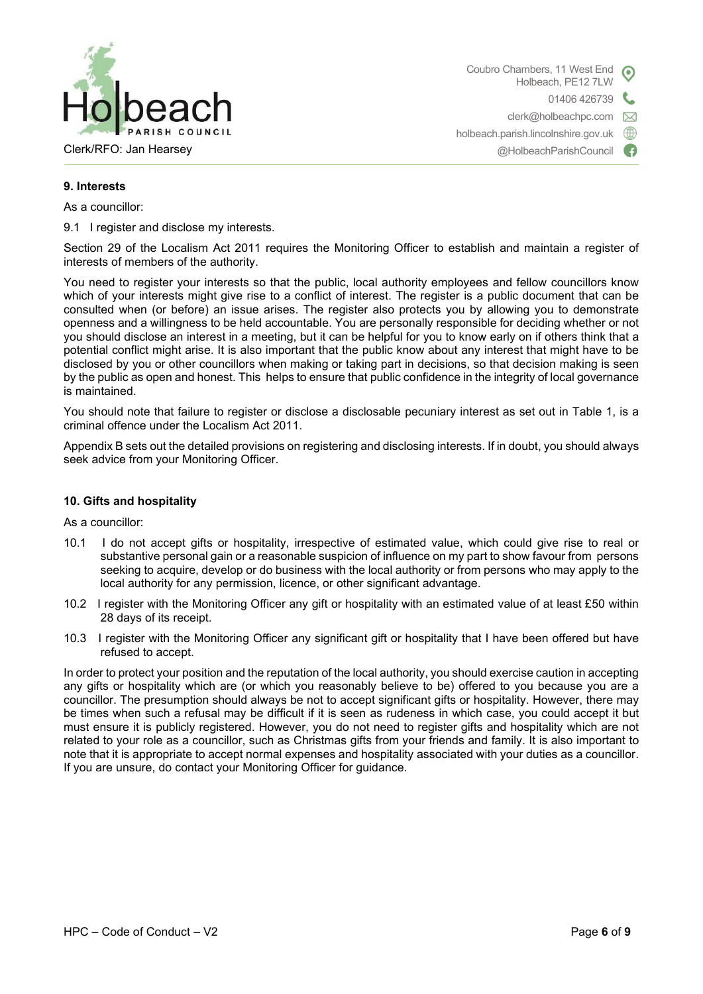

Coubro Chambers, 11 West End Holbeach, PE12 7LW 01406 426739 clerk@holbeachpc.com  $\boxtimes$ holbeach.parish.lincolnshire.gov.uk ∰

@HolbeachParishCouncil

# **9. Interests**

As a councillor:

9.1 I register and disclose my interests.

Section 29 of the Localism Act 2011 requires the Monitoring Officer to establish and maintain a register of interests of members of the authority.

You need to register your interests so that the public, local authority employees and fellow councillors know which of your interests might give rise to a conflict of interest. The register is a public document that can be consulted when (or before) an issue arises. The register also protects you by allowing you to demonstrate openness and a willingness to be held accountable. You are personally responsible for deciding whether or not you should disclose an interest in a meeting, but it can be helpful for you to know early on if others think that a potential conflict might arise. It is also important that the public know about any interest that might have to be disclosed by you or other councillors when making or taking part in decisions, so that decision making is seen by the public as open and honest. This helps to ensure that public confidence in the integrity of local governance is maintained.

You should note that failure to register or disclose a disclosable pecuniary interest as set out in Table 1, is a criminal offence under the Localism Act 2011.

Appendix B sets out the detailed provisions on registering and disclosing interests. If in doubt, you should always seek advice from your Monitoring Officer.

### **10. Gifts and hospitality**

As a councillor:

- 10.1 I do not accept gifts or hospitality, irrespective of estimated value, which could give rise to real or substantive personal gain or a reasonable suspicion of influence on my part to show favour from persons seeking to acquire, develop or do business with the local authority or from persons who may apply to the local authority for any permission, licence, or other significant advantage.
- 10.2 I register with the Monitoring Officer any gift or hospitality with an estimated value of at least £50 within 28 days of its receipt.
- 10.3 I register with the Monitoring Officer any significant gift or hospitality that I have been offered but have refused to accept.

In order to protect your position and the reputation of the local authority, you should exercise caution in accepting any gifts or hospitality which are (or which you reasonably believe to be) offered to you because you are a councillor. The presumption should always be not to accept significant gifts or hospitality. However, there may be times when such a refusal may be difficult if it is seen as rudeness in which case, you could accept it but must ensure it is publicly registered. However, you do not need to register gifts and hospitality which are not related to your role as a councillor, such as Christmas gifts from your friends and family. It is also important to note that it is appropriate to accept normal expenses and hospitality associated with your duties as a councillor. If you are unsure, do contact your Monitoring Officer for guidance.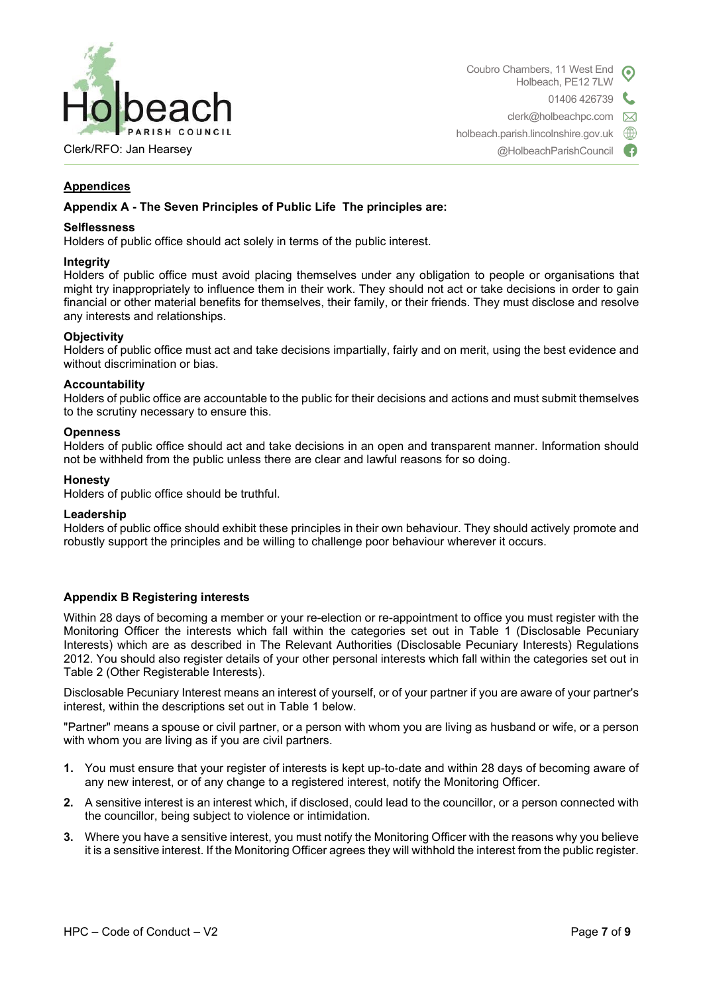

Coubro Chambers, 11 West End Holbeach, PE12 7LW 01406 426739 clerk@holbeachpc.com  $\boxtimes$ holbeach.parish.lincolnshire.gov.uk ∰ @HolbeachParishCouncil

# **Appendices**

j

### **Appendix A - The Seven Principles of Public Life The principles are:**

#### **Selflessness**

Holders of public office should act solely in terms of the public interest.

#### **Integrity**

Holders of public office must avoid placing themselves under any obligation to people or organisations that might try inappropriately to influence them in their work. They should not act or take decisions in order to gain financial or other material benefits for themselves, their family, or their friends. They must disclose and resolve any interests and relationships.

#### **Objectivity**

Holders of public office must act and take decisions impartially, fairly and on merit, using the best evidence and without discrimination or bias.

#### **Accountability**

Holders of public office are accountable to the public for their decisions and actions and must submit themselves to the scrutiny necessary to ensure this.

#### **Openness**

Holders of public office should act and take decisions in an open and transparent manner. Information should not be withheld from the public unless there are clear and lawful reasons for so doing.

#### **Honesty**

Holders of public office should be truthful.

#### **Leadership**

Holders of public office should exhibit these principles in their own behaviour. They should actively promote and robustly support the principles and be willing to challenge poor behaviour wherever it occurs.

#### **Appendix B Registering interests**

Within 28 days of becoming a member or your re-election or re-appointment to office you must register with the Monitoring Officer the interests which fall within the categories set out in Table 1 (Disclosable Pecuniary Interests) which are as described in The Relevant Authorities (Disclosable Pecuniary Interests) Regulations 2012. You should also register details of your other personal interests which fall within the categories set out in Table 2 (Other Registerable Interests).

Disclosable Pecuniary Interest means an interest of yourself, or of your partner if you are aware of your partner's interest, within the descriptions set out in Table 1 below.

"Partner" means a spouse or civil partner, or a person with whom you are living as husband or wife, or a person with whom you are living as if you are civil partners.

- **1.** You must ensure that your register of interests is kept up-to-date and within 28 days of becoming aware of any new interest, or of any change to a registered interest, notify the Monitoring Officer.
- **2.** A sensitive interest is an interest which, if disclosed, could lead to the councillor, or a person connected with the councillor, being subject to violence or intimidation.
- **3.** Where you have a sensitive interest, you must notify the Monitoring Officer with the reasons why you believe it is a sensitive interest. If the Monitoring Officer agrees they will withhold the interest from the public register.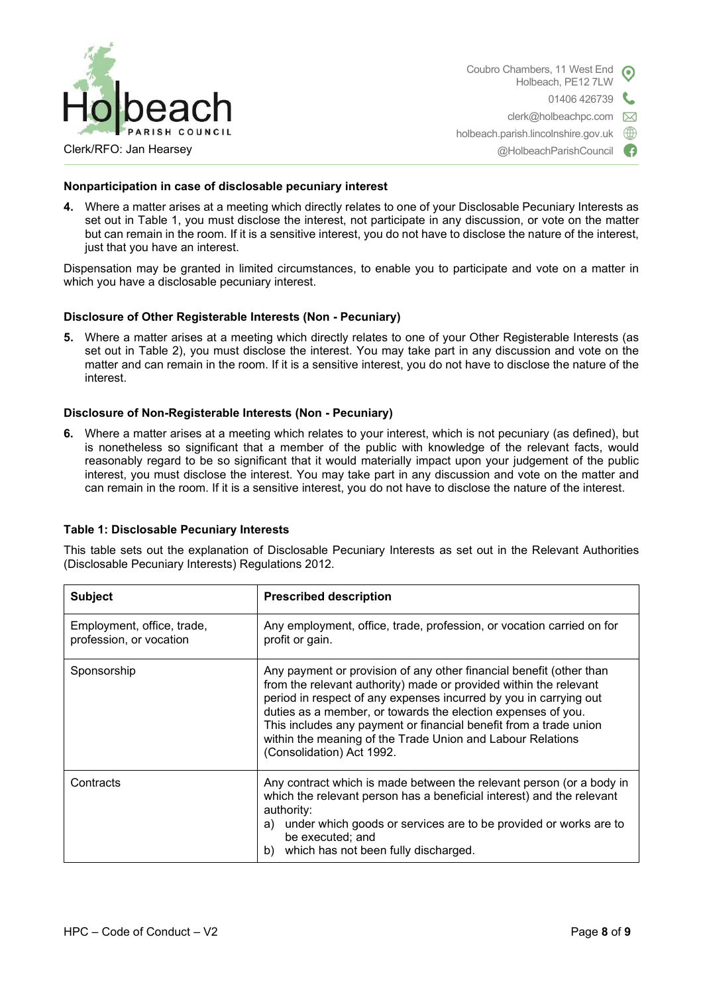

Coubro Chambers, 11 West End Holbeach, PE12 7LW 01406 426739 t. clerk@holbeachpc.com  $\boxtimes$ holbeach.parish.lincolnshire.gov.uk ∰

@HolbeachParishCouncil

Œ

Clerk/RFO: Jan Hearsey

# **Nonparticipation in case of disclosable pecuniary interest**

**4.** Where a matter arises at a meeting which directly relates to one of your Disclosable Pecuniary Interests as set out in Table 1, you must disclose the interest, not participate in any discussion, or vote on the matter but can remain in the room. If it is a sensitive interest, you do not have to disclose the nature of the interest, just that you have an interest.

Dispensation may be granted in limited circumstances, to enable you to participate and vote on a matter in which you have a disclosable pecuniary interest.

# **Disclosure of Other Registerable Interests (Non - Pecuniary)**

**5.** Where a matter arises at a meeting which directly relates to one of your Other Registerable Interests (as set out in Table 2), you must disclose the interest. You may take part in any discussion and vote on the matter and can remain in the room. If it is a sensitive interest, you do not have to disclose the nature of the interest.

# **Disclosure of Non-Registerable Interests (Non - Pecuniary)**

**6.** Where a matter arises at a meeting which relates to your interest, which is not pecuniary (as defined), but is nonetheless so significant that a member of the public with knowledge of the relevant facts, would reasonably regard to be so significant that it would materially impact upon your judgement of the public interest, you must disclose the interest. You may take part in any discussion and vote on the matter and can remain in the room. If it is a sensitive interest, you do not have to disclose the nature of the interest.

# **Table 1: Disclosable Pecuniary Interests**

This table sets out the explanation of Disclosable Pecuniary Interests as set out in the Relevant Authorities (Disclosable Pecuniary Interests) Regulations 2012.

| <b>Subject</b>                                        | <b>Prescribed description</b>                                                                                                                                                                                                                                                                                                                                                                                                                 |  |  |
|-------------------------------------------------------|-----------------------------------------------------------------------------------------------------------------------------------------------------------------------------------------------------------------------------------------------------------------------------------------------------------------------------------------------------------------------------------------------------------------------------------------------|--|--|
| Employment, office, trade,<br>profession, or vocation | Any employment, office, trade, profession, or vocation carried on for<br>profit or gain.                                                                                                                                                                                                                                                                                                                                                      |  |  |
| Sponsorship                                           | Any payment or provision of any other financial benefit (other than<br>from the relevant authority) made or provided within the relevant<br>period in respect of any expenses incurred by you in carrying out<br>duties as a member, or towards the election expenses of you.<br>This includes any payment or financial benefit from a trade union<br>within the meaning of the Trade Union and Labour Relations<br>(Consolidation) Act 1992. |  |  |
| Contracts                                             | Any contract which is made between the relevant person (or a body in<br>which the relevant person has a beneficial interest) and the relevant<br>authority:<br>under which goods or services are to be provided or works are to<br>a)<br>be executed; and<br>which has not been fully discharged.<br>b)                                                                                                                                       |  |  |